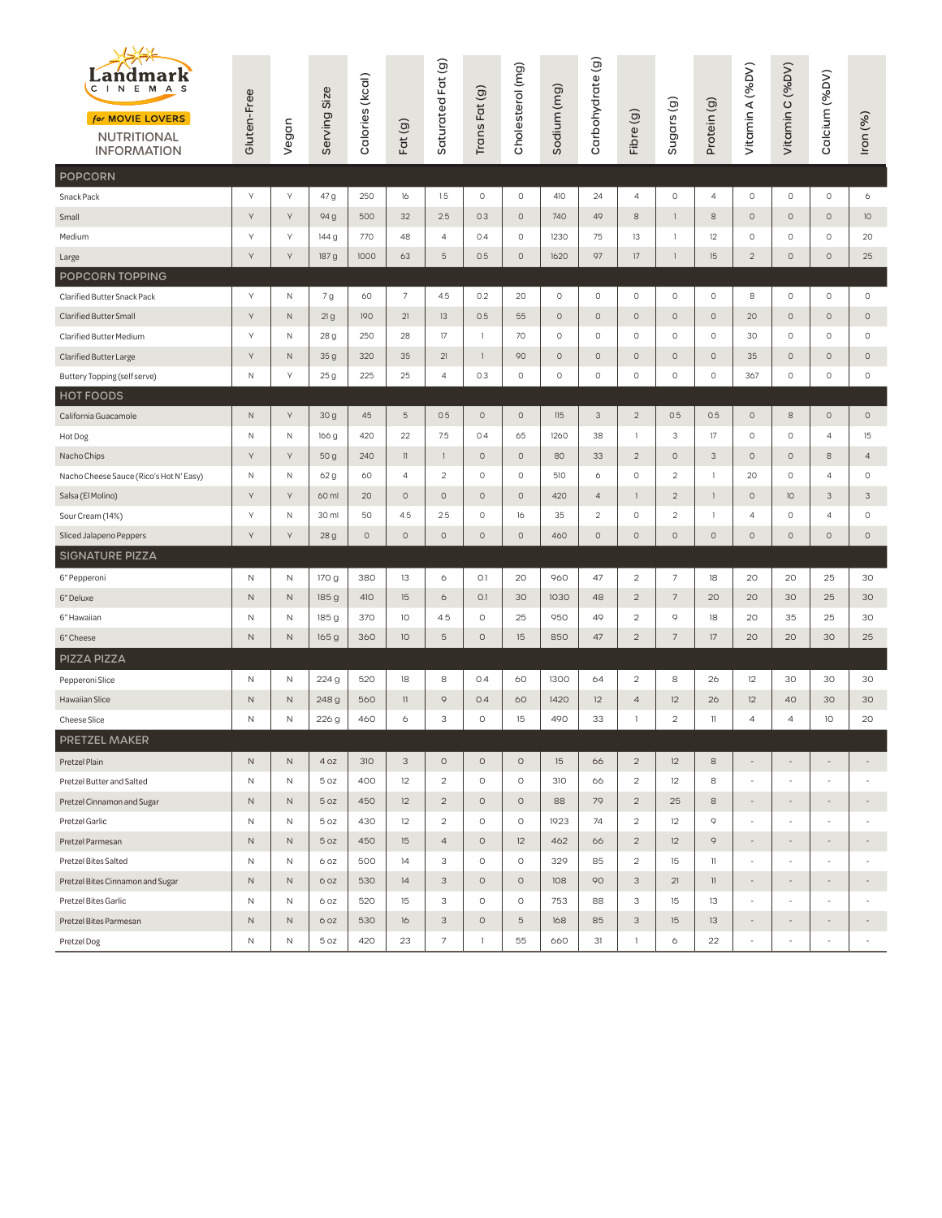| Landmark<br>I N E<br>M A S<br>$\mathsf{C}$<br>for MOVIE LOVERS<br><b>NUTRITIONAL</b><br><b>INFORMATION</b> | Gluten-Free  | Vegan        | Serving Size    | Calories (kcal) | Fat(g)             | Saturated Fat (g) | Trans Fat(g) | Cholesterol (mg) | Sodium (mg) | Carbohydrate (g) | Fibre (g)               | Sugars <sub>(g)</sub> | Protein (g)    | Vitamin A (%DV)          | Vitamin C (%DV)          | Calcium (%DV)            | Iron (%)                  |
|------------------------------------------------------------------------------------------------------------|--------------|--------------|-----------------|-----------------|--------------------|-------------------|--------------|------------------|-------------|------------------|-------------------------|-----------------------|----------------|--------------------------|--------------------------|--------------------------|---------------------------|
| POPCORN                                                                                                    |              |              |                 |                 |                    |                   |              |                  |             |                  |                         |                       |                |                          |                          |                          |                           |
| Snack Pack                                                                                                 | $\vee$       | Υ            | 47 g            | 250             | 16                 | 1.5               | $\circ$      | $\circ$          | 410         | 24               | 4                       | $\circ$               | $\overline{4}$ | $\circ$                  | $\circ$                  | $\circ$                  | 6                         |
| Small                                                                                                      | Υ            | Υ            | 94 g            | 500             | 32                 | 2.5               | 0.3          | $\circ$          | 740         | 49               | 8                       | $\mathbf{1}$          | 8              | $\circ$                  | $\circ$                  | $\circ$                  | 10                        |
| Medium                                                                                                     | Υ            | Υ            | 144 g           | 770             | 48                 | $\overline{4}$    | 0.4          | $\circ$          | 1230        | 75               | 13                      | $\mathbf{1}$          | 12             | $\circ$                  | $\circ$                  | $\circ$                  | 20                        |
| Large                                                                                                      | Y            | Υ            | 187 g           | 1000            | 63                 | $\overline{5}$    | 0.5          | $\circ$          | 1620        | 97               | 17                      | 1                     | 15             | $\overline{2}$           | $\circ$                  | $\circ$                  | 25                        |
| POPCORN TOPPING                                                                                            |              |              |                 |                 |                    |                   |              |                  |             |                  |                         |                       |                |                          |                          |                          |                           |
| Clarified Butter Snack Pack                                                                                | Y            | N            | 7 g             | 60              | $7\overline{ }$    | 4.5               | 0.2          | 20               | $\circ$     | $\circ$          | 0                       | $\circ$               | $\circ$        | 8                        | $\circ$                  | $\circ$                  | $\circ$                   |
| <b>Clarified Butter Small</b>                                                                              | Υ            | N            | 21g             | 190             | 21                 | 13                | 0.5          | 55               | $\circ$     | $\circ$          | $\circ$                 | $\circ$               | $\circ$        | 20                       | $\circ$                  | $\circ$                  | 0                         |
| Clarified Butter Medium                                                                                    | Υ            | Ν            | 28 g            | 250             | 28                 | 17                | $\mathbf{1}$ | 70               | $\circ$     | 0                | $\circ$                 | $\circ$               | $\circ$        | 30                       | $\circ$                  | 0                        | 0                         |
| Clarified Butter Large                                                                                     | Υ            | $\mathsf{N}$ | 35g             | 320             | 35                 | 21                | $\,$ $\,$    | 90               | $\circ$     | $\circ$          | $\circ$                 | $\circ$               | $\circ$        | 35                       | $\circ$                  | $\circ$                  | $\circ$                   |
| Buttery Topping (self serve)                                                                               | Ν            | Υ            | 25 g            | 225             | 25                 | $\overline{4}$    | 0.3          | $\circ$          | $\circ$     | 0                | $\circ$                 | $\circ$               | $\circ$        | 367                      | $\circ$                  | $\circ$                  | $\mathsf{O}\xspace$       |
| <b>HOT FOODS</b>                                                                                           |              |              |                 |                 |                    |                   |              |                  |             |                  |                         |                       |                |                          |                          |                          |                           |
| California Guacamole                                                                                       | $\mathsf N$  | Υ            | 30 <sub>g</sub> | 45              | 5                  | 0.5               | $\circ$      | $\circ$          | 115         | 3                | $\overline{2}$          | 0.5                   | 0.5            | $\circ$                  | 8                        | $\circ$                  | $\circ$                   |
| Hot Dog                                                                                                    | N            | Ν            | 166 g           | 420             | 22                 | 7.5               | 0.4          | 65               | 1260        | 38               | $\mathbf{1}$            | 3                     | 17             | $\circ$                  | $\circ$                  | 4                        | 15                        |
| Nacho Chips                                                                                                | Y            | Υ            | 50 g            | 240             | $\left  {}\right $ | 1                 | $\circ$      | $\circ$          | 80          | 33               | $\overline{c}$          | $\circ$               | 3              | $\circ$                  | $\circ$                  | 8                        | $\overline{4}$            |
| Nacho Cheese Sauce (Rico's Hot N' Easy)                                                                    | N            | N            | 62 g            | 60              | $\overline{4}$     | $\overline{2}$    | 0            | $\circ$          | 510         | 6                | $\circ$                 | $\overline{c}$        | $\mathbf{1}$   | 20                       | $\circ$                  | $\overline{4}$           | 0                         |
| Salsa (El Molino)                                                                                          | Υ            | Υ            | 60 ml           | 20              | $\circ$            | $\circ$           | $\circ$      | $\circ$          | 420         | $\overline{4}$   | $\mathbf{1}$            | $\overline{2}$        | $\mathbf{1}$   | $\circ$                  | 10                       | 3                        | $\ensuremath{\mathsf{3}}$ |
| Sour Cream (14%)                                                                                           | Υ            | Ν            | 30 ml           | 50              | 4.5                | 2.5               | $\circ$      | 16               | 35          | $\sqrt{2}$       | $\circ$                 | $\overline{c}$        | $\overline{1}$ | $\overline{4}$           | $\circ$                  | $\overline{4}$           | $\circ$                   |
| Sliced Jalapeno Peppers                                                                                    | Y            | Υ            | 28 <sub>g</sub> | $\circ$         | $\circ$            | $\circ$           | $\circ$      | $\circ$          | 460         | $\circ$          | $\circ$                 | $\circ$               | $\circ$        | $\circ$                  | $\circ$                  | $\circ$                  | $\circ$                   |
| <b>SIGNATURE PIZZA</b>                                                                                     |              |              |                 |                 |                    |                   |              |                  |             |                  |                         |                       |                |                          |                          |                          |                           |
| 6" Pepperoni                                                                                               | N            | $\mathsf N$  | 170 g           | 380             | 13                 | 6                 | O.1          | 20               | 960         | 47               | $\overline{c}$          | $\overline{7}$        | 18             | 20                       | 20                       | 25                       | 30                        |
| 6" Deluxe                                                                                                  | $\mathsf{N}$ | $\hbox{N}$   | 185 g           | 410             | 15                 | 6                 | O.1          | 30               | 1030        | 48               | $\overline{c}$          | $\overline{7}$        | 20             | 20                       | 30                       | 25                       | 30                        |
| 6" Hawaiian                                                                                                | Ν            | Ν            | 185 g           | 370             | 10                 | 4.5               | $\circ$      | 25               | 950         | 49               | $\overline{\mathbf{c}}$ | $\circ$               | 18             | 20                       | 35                       | 25                       | 30                        |
| 6" Cheese                                                                                                  | $\mathsf{N}$ | N            | 165g            | 360             | 10                 | $\overline{5}$    | 0            | 15               | 850         | 47               | $\overline{c}$          | $\overline{7}$        | 17             | 20                       | 20                       | 30                       | 25                        |
| PIZZA PIZZA                                                                                                |              |              |                 |                 |                    |                   |              |                  |             |                  |                         |                       |                |                          |                          |                          |                           |
| Pepperoni Slice                                                                                            | N            | $\mathsf N$  | 224 g           | 520             | 18                 | 8                 | 0.4          | 60               | 1300        | 64               | $\overline{c}$          | 8                     | 26             | 12                       | 30                       | 30                       | 30                        |
| <b>Hawaiian Slice</b>                                                                                      | $\mathsf{N}$ | N            | 248 g           | 560             | $\mathbb{I}$       | 9                 | 0.4          | 60               | 1420        | 12               | $\overline{4}$          | 12                    | 26             | 12                       | 40                       | 30                       | 30                        |
| Cheese Slice                                                                                               | N            | N            | 226 g           | 460             | 6                  | 3                 | $\circ$      | 15               | 490         | 33               | $\mathbf{1}$            | $\overline{c}$        | $\mathbb{I}$   | $\overline{a}$           | $\overline{4}$           | 10                       | 20                        |
| PRETZEL MAKER                                                                                              |              |              |                 |                 |                    |                   |              |                  |             |                  |                         |                       |                |                          |                          |                          |                           |
| Pretzel Plain                                                                                              | $\mathsf{N}$ | N            | 4 oz            | 310             | 3                  | $\circ$           | $\circ$      | $\circ$          | 15          | 66               | $\overline{c}$          | 12                    | 8              | $\overline{\phantom{a}}$ | $\sim$                   |                          |                           |
| Pretzel Butter and Salted                                                                                  | $\hbox{N}$   | $\mathsf N$  | 5 oz            | 400             | 12                 | $\overline{c}$    | $\circ$      | $\circ$          | 310         | 66               | $\overline{c}$          | 12                    | 8              | $\overline{\phantom{a}}$ | $\overline{\phantom{a}}$ | $\overline{\phantom{a}}$ |                           |
| Pretzel Cinnamon and Sugar                                                                                 | $\mathsf{N}$ | N            | 5 <sub>oz</sub> | 450             | 12                 | $\overline{c}$    | $\circ$      | $\circ$          | 88          | 79               | $\overline{c}$          | 25                    | 8              | $\overline{\phantom{a}}$ | $\overline{\phantom{a}}$ |                          |                           |
| Pretzel Garlic                                                                                             | N            | N            | 5 <sub>oz</sub> | 430             | 12                 | $\overline{c}$    | $\circ$      | O                | 1923        | 74               | $\overline{c}$          | 12                    | 9              | ÷,                       | $\sim$                   |                          |                           |
| Pretzel Parmesan                                                                                           | $\mathsf{N}$ | N            | 5 oz            | 450             | 15                 | $\overline{4}$    | $\circ$      | 12               | 462         | 66               | $\overline{c}$          | 12                    | 9              | $\overline{\phantom{a}}$ | $\overline{\phantom{a}}$ | $\overline{\phantom{a}}$ | $\overline{\phantom{a}}$  |
| Pretzel Bites Salted                                                                                       | N            | N            | 6 oz            | 500             | 14                 | 3                 | $\circ$      | O                | 329         | 85               | $\overline{c}$          | 15                    | $\mathbb{1}$   | $\overline{\phantom{a}}$ | $\overline{\phantom{a}}$ |                          |                           |
| Pretzel Bites Cinnamon and Sugar                                                                           | $\mathsf{N}$ | N            | 6 oz            | 530             | 14                 | 3                 | $\circ$      | $\circ$          | 108         | 90               | 3                       | 21                    | $\mathbb{I}$   | $\overline{\phantom{a}}$ | $\overline{\phantom{a}}$ |                          |                           |
| Pretzel Bites Garlic                                                                                       | $\hbox{N}$   | $\mathsf N$  | 6 oz            | 520             | 15                 | 3                 | $\circ$      | $\circ$          | 753         | 88               | 3                       | 15                    | 13             | $\overline{\phantom{a}}$ | $\overline{\phantom{a}}$ |                          |                           |
| Pretzel Bites Parmesan                                                                                     | $\mathsf N$  | N            | 6 oz            | 530             | 16                 | 3                 | O            | 5                | 168         | 85               | 3                       | 15                    | 13             | $\overline{\phantom{a}}$ | $\overline{\phantom{a}}$ |                          |                           |
| Pretzel Dog                                                                                                | N            | Ν            | 5 oz            | 420             | 23                 | 7                 | $\,$ $\,$    | 55               | 660         | 31               | $\mathbf{1}$            | 6                     | 22             | $\sim$                   | $\sim$                   | $\overline{\phantom{a}}$ | $\sim$                    |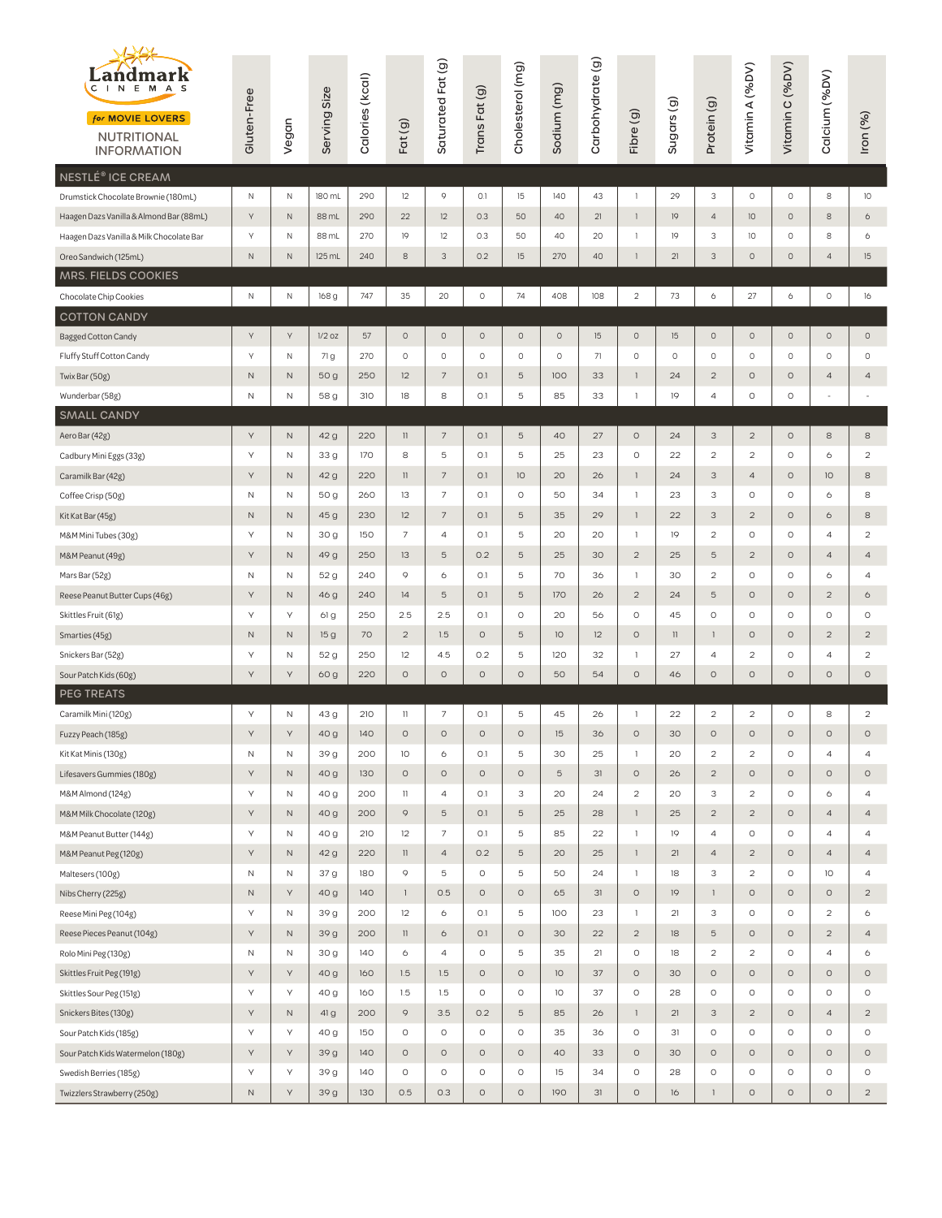| $\leftrightarrow$<br>Landmark<br>$\mathsf{C}$<br>INEMAS<br>for MOVIE LOVERS<br><b>NUTRITIONAL</b><br><b>INFORMATION</b> | Gluten-Free  | Vegan        | Serving Size | Calories (kcal) | Fat(g)                                | Saturated Fat (g)        | Trans Fat (g) | Cholesterol (mg) | Sodium (mg) | Carbohydrate (g) | Fibre (g)      | Sugars <sub>(g)</sub> | Protein (g)             | Vitamin A (%DV)                                                                                                    | Vitamin C (%DV) | Calcium (%DV)  | Iron (%)                |
|-------------------------------------------------------------------------------------------------------------------------|--------------|--------------|--------------|-----------------|---------------------------------------|--------------------------|---------------|------------------|-------------|------------------|----------------|-----------------------|-------------------------|--------------------------------------------------------------------------------------------------------------------|-----------------|----------------|-------------------------|
| NESTLÉ® ICE CREAM                                                                                                       |              |              |              |                 |                                       |                          |               |                  |             |                  |                |                       |                         |                                                                                                                    |                 |                |                         |
| Drumstick Chocolate Brownie (180mL)                                                                                     | $\mathsf N$  | N            | 180 mL       | 290             | 12                                    | 9                        | 0.1           | 15               | 140         | 43               | $\mathbf{1}$   | 29                    | 3                       | $\circ$                                                                                                            | $\circ$         | $\,$ 8         | 10                      |
| Haagen Dazs Vanilla & Almond Bar (88mL)                                                                                 | Y            | $\hbox{N}$   | 88 mL        | 290             | 22                                    | 12                       | 0.3           | 50               | 40          | 21               | $\mathbf{1}$   | 9                     | $\overline{4}$          | 10                                                                                                                 | $\circ$         | $\,$ 8         | 6                       |
| Haagen Dazs Vanilla & Milk Chocolate Bar                                                                                | Υ            | N            | 88 mL        | 270             | 19                                    | 12                       | 0.3           | 50               | 40          | 20               | $\mathbf{1}$   | 19                    | 3                       | 10                                                                                                                 | $\circ$         | 8              | 6                       |
| Oreo Sandwich (125mL)                                                                                                   | $\mathsf N$  | N            | 125 mL       | 240             | 8                                     | 3                        | 0.2           | 15               | 270         | 40               | $\mathbf{1}$   | 21                    | 3                       | $\circ$                                                                                                            | $\circ$         | $\overline{4}$ | 15                      |
| MRS. FIELDS COOKIES                                                                                                     |              |              |              |                 |                                       |                          |               |                  |             |                  |                |                       |                         |                                                                                                                    |                 |                |                         |
| Chocolate Chip Cookies                                                                                                  | N            | $\mathsf N$  | 168 g        | 747             | 35                                    | 20                       | $\circ$       | 74               | 408         | 108              | $\overline{c}$ | 73                    | 6                       | 27                                                                                                                 | 6               | $\circ$        | 16                      |
| <b>COTTON CANDY</b>                                                                                                     |              |              |              |                 |                                       |                          |               |                  |             |                  |                |                       |                         |                                                                                                                    |                 |                |                         |
| <b>Bagged Cotton Candy</b>                                                                                              | Y            | γ            | $1/2$ oz     | 57              | $\circ$                               | $\circ$                  | $\circ$       | $\circ$          | $\circ$     | 15               | $\circ$        | 15                    | $\circ$                 | $\circ$                                                                                                            | $\circ$         | $\circ$        | $\circ$                 |
| Fluffy Stuff Cotton Candy                                                                                               | Y            | Ν            | 71 g         | 270             | 0                                     | $\circ$                  | $\circ$       | $\circ$          | $\circ$     | 71               | $\mathsf O$    | 0                     | $\circ$                 | 0                                                                                                                  | $\circ$         | $\circ$        | $\circ$                 |
| Twix Bar (50g)                                                                                                          | N            | N            | 50 g         | 250             | 12                                    | $\overline{\phantom{a}}$ | O.1           | 5                | 100         | 33               | $\mathbf{1}$   | 24                    | $\overline{2}$          | $\circ$                                                                                                            | $\circ$         | $\overline{a}$ | $\overline{a}$          |
| Wunderbar (58g)                                                                                                         | $\mathsf{N}$ | Ν            | 58 g         | 310             | 18                                    | 8                        | O.1           | 5                | 85          | 33               | $\mathbf{1}$   | 19                    | $\overline{a}$          | $\circ$                                                                                                            | $\circ$         | ÷              | $\sim$                  |
| <b>SMALL CANDY</b>                                                                                                      |              |              |              |                 |                                       |                          |               |                  |             |                  |                |                       |                         |                                                                                                                    |                 |                |                         |
| Aero Bar (42g)                                                                                                          | Y            | $\hbox{N}$   | 42 g         | 220             | $\begin{array}{c} \hline \end{array}$ | $\overline{7}$           | O.1           | 5                | 40          | 27               | $\circ$        | 24                    | 3                       | $\overline{c}$                                                                                                     | $\circ$         | 8              | 8                       |
| Cadbury Mini Eggs (33g)                                                                                                 | Υ            | Ν            | 33 g         | 170             | 8                                     | 5                        | O.1           | 5                | 25          | 23               | O              | 22                    | $\overline{\mathbf{c}}$ | $\mathfrak{2}% _{T}=\mathfrak{2}_{T}\!\left( a,b\right) ,\ \mathfrak{2}_{T}=\mathfrak{2}_{T}\!\left( a,b\right) ,$ | $\circ$         | 6              | $\overline{\mathbf{c}}$ |
| Caramilk Bar (42g)                                                                                                      | Y            | $\mathsf{N}$ | 42 g         | 220             | $\mathbb{I}$                          | $\overline{7}$           | O.1           | 10               | 20          | 26               | $\mathbf{1}$   | 24                    | 3                       | $\overline{4}$                                                                                                     | $\circ$         | 10             | 8                       |
| Coffee Crisp (50g)                                                                                                      | Ν            | N            | 50 g         | 260             | 13                                    | $\overline{7}$           | O.1           | $\circ$          | 50          | 34               | $\,1\,$        | 23                    | 3                       | $\circ$                                                                                                            | $\circ$         | 6              | 8                       |
| Kit Kat Bar (45g)                                                                                                       | N            | $\mathsf{N}$ | 45 g         | 230             | 12                                    | 7                        | O.1           | 5                | 35          | 29               | $\mathbf{1}$   | 22                    | 3                       | $\overline{c}$                                                                                                     | $\circ$         | 6              | 8                       |
| M&M Mini Tubes (30g)                                                                                                    | Υ            | Ν            | 30 g         | 150             | $\overline{7}$                        | 4                        | O.1           | 5                | 20          | 20               | -1             | 19                    | $\overline{c}$          | $\circ$                                                                                                            | $\circ$         | $\overline{4}$ | $\overline{c}$          |
| M&M Peanut (49g)                                                                                                        | Υ            | N            | 49 g         | 250             | 13                                    | 5                        | 0.2           | 5                | 25          | 30               | $\sqrt{2}$     | 25                    | 5                       | $\overline{c}$                                                                                                     | $\circ$         | $\overline{a}$ | $\overline{a}$          |
| Mars Bar (52g)                                                                                                          | N            | Ν            | 52 g         | 240             | 9                                     | 6                        | O.1           | 5                | 70          | 36               | -1             | 30                    | $\overline{c}$          | 0                                                                                                                  | $\circ$         | 6              | 4                       |
| Reese Peanut Butter Cups (46g)                                                                                          | Y            | $\mathsf{N}$ | 46 g         | 240             | 14                                    | 5                        | 0.1           | 5                | 170         | 26               | 2              | 24                    | 5                       | $\circ$                                                                                                            | $\circ$         | $\overline{2}$ | 6                       |
| Skittles Fruit (61g)                                                                                                    | Υ            | Υ            | 61 g         | 250             | 2.5                                   | 2.5                      | O.1           | $\circ$          | 20          | 56               | $\circ$        | 45                    | $\circ$                 | $\circ$                                                                                                            | $\circ$         | $\circ$        | O                       |
| Smarties (45g)                                                                                                          | $\mathsf N$  | N            | 15 g         | 70              | $\overline{2}$                        | 1.5                      | $\circ$       | 5                | 10          | 12               | $\circ$        | $\mathbb{I}$          | $\mathbf{1}$            | $\circ$                                                                                                            | $\circ$         | $\overline{2}$ | $\overline{2}$          |
| Snickers Bar (52g)                                                                                                      | Υ            | Ν            | 52 g         | 250             | 12                                    | 4.5                      | 0.2           | 5                | 120         | 32               | -1             | 27                    | 4                       | $\overline{c}$                                                                                                     | $\circ$         | $\overline{a}$ | $\overline{2}$          |
| Sour Patch Kids (60g)                                                                                                   | Y            | Υ            | 60 g         | 220             | $\circ$                               | $\circ$                  | $\circ$       | $\circ$          | 50          | 54               | $\circ$        | 46                    | $\circ$                 | $\circ$                                                                                                            | $\circ$         | $\circ$        | $\circ$                 |
| <b>PEG TREATS</b>                                                                                                       |              |              |              |                 |                                       |                          |               |                  |             |                  |                |                       |                         |                                                                                                                    |                 |                |                         |
| Caramilk Mini (120g)                                                                                                    | Υ            | N            | 43 g         | 210             | $\mathbb{I}$                          | 7                        | O.1           | 5                | 45          | 26               | $\mathbf{1}$   | 22                    | $\overline{\mathbf{c}}$ | $\overline{\mathbf{c}}$                                                                                            | $\circ$         | 8              | $\overline{c}$          |
| Fuzzy Peach (185g)                                                                                                      | Y            | Y            | 40 g         | 140             | $\circ$                               | $\circ$                  | $\circ$       | $\circ$          | 15          | 36               | $\circ$        | 30                    | $\circ$                 | $\circ$                                                                                                            | $\circ$         | $\circ$        | $\circ$                 |
| Kit Kat Minis (130g)                                                                                                    | Ν            | Ν            | 39 g         | 200             | 10                                    | 6                        | O.1           | 5                | 30          | 25               | $\mathbf{1}$   | 20                    | $\overline{c}$          | $\overline{c}$                                                                                                     | $\circ$         | $\overline{a}$ | $\overline{a}$          |
| Lifesavers Gummies (180g)                                                                                               | Υ            | N            | 40 g         | 130             | $\circ$                               | $\circ$                  | $\circ$       | $\circ$          | 5           | 31               | $\circ$        | 26                    | $\overline{c}$          | $\circ$                                                                                                            | $\circ$         | $\circ$        | 0                       |
| M&M Almond (124g)                                                                                                       | Υ            | Ν            | 40 g         | 200             | $\mathbb{I}$                          | 4                        | O.1           | 3                | 20          | 24               | $\overline{a}$ | 20                    | 3                       | $\overline{c}$                                                                                                     | $\circ$         | 6              | 4                       |
| M&M Milk Chocolate (120g)                                                                                               | Υ            | $\hbox{N}$   | 40 g         | 200             | 9                                     | 5                        | O.1           | 5                | 25          | 28               | $\mathbf{1}$   | 25                    | $\overline{c}$          | $\sqrt{2}$                                                                                                         | $\circ$         | $\overline{a}$ | $\overline{4}$          |
| M&M Peanut Butter (144g)                                                                                                | Υ            | N            | 40 g         | 210             | 12                                    | 7                        | O.1           | 5                | 85          | 22               | $\mathbf{1}$   | 19                    | $\overline{a}$          | $\circ$                                                                                                            | $\circ$         | $\overline{a}$ | 4                       |
| M&M Peanut Peg (120g)                                                                                                   | $\mathsf{Y}$ | $\hbox{N}$   | 42 g         | 220             | $\mathbf{1}$                          | $\overline{a}$           | 0.2           | 5                | 20          | 25               | $\mathbf{1}$   | 21                    | $\overline{a}$          | $\overline{c}$                                                                                                     | $\circ$         | $\overline{a}$ | $\overline{4}$          |
| Maltesers (100g)                                                                                                        | $\hbox{N}$   | N            | 37 g         | 180             | 9                                     | 5                        | $\circ$       | 5                | 50          | 24               | $\mathbf{1}$   | 18                    | 3                       | $\overline{c}$                                                                                                     | $\circ$         | 10             | 4                       |
| Nibs Cherry (225g)                                                                                                      | $\mathsf N$  | Υ            | 40 g         | 140             | $\mathbf{1}$                          | 0.5                      | $\circ$       | $\circ$          | 65          | 31               | $\circ$        | 19                    | $\mathbf{1}$            | $\circ$                                                                                                            | $\circ$         | $\circ$        | $\overline{c}$          |
| Reese Mini Peg (104g)                                                                                                   | Υ            | Ν            | 39 g         | 200             | 12                                    | 6                        | O.1           | 5                | 100         | 23               | -1             | 21                    | 3                       | $\circ$                                                                                                            | $\circ$         | $\overline{c}$ | 6                       |
| Reese Pieces Peanut (104g)                                                                                              | Υ            | N            | 39 g         | 200             | $\mathbf{1}$                          | 6                        | O.1           | $\circ$          | 30          | 22               | $\overline{c}$ | 18                    | $\mathbf 5$             | $\circ$                                                                                                            | $\circ$         | $\overline{c}$ | $\overline{4}$          |
| Rolo Mini Peg (130g)                                                                                                    | N            | N            | 30 g         | 140             | 6                                     | 4                        | $\circ$       | 5                | 35          | 21               | $\circ$        | 18                    | $\mathbf 2$             | $\overline{\mathbf{c}}$                                                                                            | $\circ$         | $\overline{4}$ | 6                       |
| Skittles Fruit Peg (191g)                                                                                               | Υ            | Υ            | 40 g         | 160             | 1.5                                   | 1.5                      | $\circ$       | $\circ$          | 10          | 37               | 0              | 30                    | $\circ$                 | $\circ$                                                                                                            | $\circ$         | $\circ$        | 0                       |
| Skittles Sour Peg (151g)                                                                                                | Υ            | Υ            | 40 g         | 160             | 1.5                                   | 1.5                      | $\circ$       | $\circ$          | 10          | 37               | $\circ$        | 28                    | $\circ$                 | $\circ$                                                                                                            | $\circ$         | $\circ$        | O                       |
| Snickers Bites (130g)                                                                                                   | Υ            | N            | 41 g         | 200             | 9                                     | 3.5                      | 0.2           | 5                | 85          | 26               | $\mathbf{1}$   | 21                    | 3                       | $\overline{c}$                                                                                                     | $\circ$         | $\overline{a}$ | $\overline{c}$          |
| Sour Patch Kids (185g)                                                                                                  | Υ            | Υ            | 40 g         | 150             | $\circ$                               | $\circ$                  | $\circ$       | $\circ$          | 35          | 36               | O              | 31                    | $\circ$                 | $\circ$                                                                                                            | $\circ$         | $\circ$        | O                       |
| Sour Patch Kids Watermelon (180g)                                                                                       | Υ            | Υ            | 39 g         | 140             | $\circ$                               | $\circ$                  | $\circ$       | $\circ$          | 40          | 33               | 0              | 30                    | $\circ$                 | $\circ$                                                                                                            | $\circ$         | $\circ$        | 0                       |
| Swedish Berries (185g)                                                                                                  | $\mathsf{Y}$ | Υ            | 39 g         | 140             | $\circ$                               | $\circ$                  | $\circ$       | $\circ$          | 15          | 34               | $\circ$        | 28                    | $\circ$                 | $\circ$                                                                                                            | $\circ$         | $\circ$        | O                       |
| Twizzlers Strawberry (250g)                                                                                             | $\mathsf N$  | Υ            | 39 g         | 130             | 0.5                                   | 0.3                      | $\circ$       | $\circ$          | 190         | 31               | $\circ$        | 16                    | $\mathbf{1}$            | $\circ$                                                                                                            | $\circ$         | $\circ$        | $\overline{c}$          |